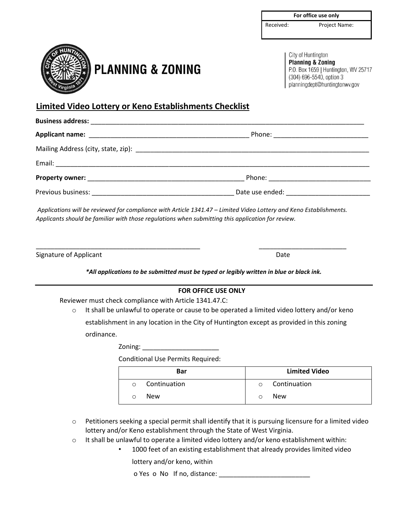|  | For office use only |  |  |
|--|---------------------|--|--|
|  |                     |  |  |
|  |                     |  |  |

Received: Project Name:



## **PLANNING & ZONING**

City of Huntington **Planning & Zoning** P.O. Box 1659 | Huntington, WV 25717 (304) 696-5540, option 3 planningdept@huntingtonwv.gov

## **Limited Video Lottery or Keno Establishments Checklist**

*Applications will be reviewed for compliance with Article 1341.47 – Limited Video Lottery and Keno Establishments. Applicants should be familiar with those regulations when submitting this application for review.* 

Signature of Applicant

Date

\_\_\_\_\_\_\_\_\_\_\_\_\_\_\_\_\_\_\_\_\_\_\_\_

*\*All applications to be submitted must be typed or legibly written in blue or black ink.*

## **FOR OFFICE USE ONLY**

Reviewer must check compliance with Article 1341.47.C:

 $\circ$  It shall be unlawful to operate or cause to be operated a limited video lottery and/or keno establishment in any location in the City of Huntington except as provided in this zoning ordinance.

Zoning: \_\_\_\_\_\_\_\_\_\_\_\_\_\_\_\_\_\_\_\_\_

\_\_\_\_\_\_\_\_\_\_\_\_\_\_\_\_\_\_\_\_\_\_\_\_\_\_\_\_\_\_\_\_\_\_\_\_\_\_\_\_\_\_\_\_\_

Conditional Use Permits Required:

| <b>Bar</b> |              | <b>Limited Video</b> |              |  |
|------------|--------------|----------------------|--------------|--|
| $\circ$    | Continuation | $\circ$              | Continuation |  |
|            | <b>New</b>   |                      | <b>New</b>   |  |

- $\circ$  Petitioners seeking a special permit shall identify that it is pursuing licensure for a limited video lottery and/or Keno establishment through the State of West Virginia.
- $\circ$  It shall be unlawful to operate a limited video lottery and/or keno establishment within:
	- 1000 feet of an existing establishment that already provides limited video

lottery and/or keno, within

o Yes o No If no, distance: